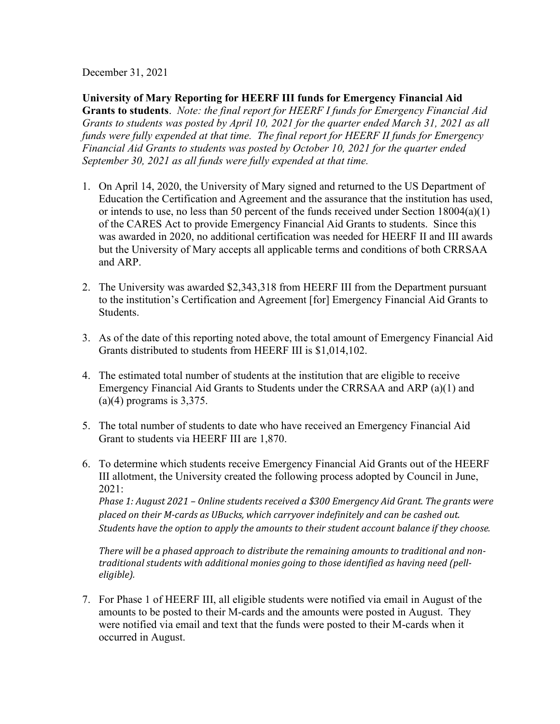December 31, 2021

University of Mary Reporting for HEERF III funds for Emergency Financial Aid Grants to students. Note: the final report for HEERF I funds for Emergency Financial Aid Grants to students was posted by April 10, 2021 for the quarter ended March 31, 2021 as all funds were fully expended at that time. The final report for HEERF II funds for Emergency Financial Aid Grants to students was posted by October 10, 2021 for the quarter ended September 30, 2021 as all funds were fully expended at that time.

- 1. On April 14, 2020, the University of Mary signed and returned to the US Department of Education the Certification and Agreement and the assurance that the institution has used, or intends to use, no less than 50 percent of the funds received under Section 18004(a)(1) of the CARES Act to provide Emergency Financial Aid Grants to students. Since this was awarded in 2020, no additional certification was needed for HEERF II and III awards but the University of Mary accepts all applicable terms and conditions of both CRRSAA and ARP.
- 2. The University was awarded \$2,343,318 from HEERF III from the Department pursuant to the institution's Certification and Agreement [for] Emergency Financial Aid Grants to Students.
- 3. As of the date of this reporting noted above, the total amount of Emergency Financial Aid Grants distributed to students from HEERF III is \$1,014,102.
- 4. The estimated total number of students at the institution that are eligible to receive Emergency Financial Aid Grants to Students under the CRRSAA and ARP (a)(1) and  $(a)(4)$  programs is 3,375.
- 5. The total number of students to date who have received an Emergency Financial Aid Grant to students via HEERF III are 1,870.
- 6. To determine which students receive Emergency Financial Aid Grants out of the HEERF III allotment, the University created the following process adopted by Council in June, 2021:

Phase 1: August 2021 – Online students received a \$300 Emergency Aid Grant. The grants were placed on their M-cards as UBucks, which carryover indefinitely and can be cashed out. Students have the option to apply the amounts to their student account balance if they choose.

There will be a phased approach to distribute the remaining amounts to traditional and nontraditional students with additional monies going to those identified as having need (pelleligible).

7. For Phase 1 of HEERF III, all eligible students were notified via email in August of the amounts to be posted to their M-cards and the amounts were posted in August. They were notified via email and text that the funds were posted to their M-cards when it occurred in August.